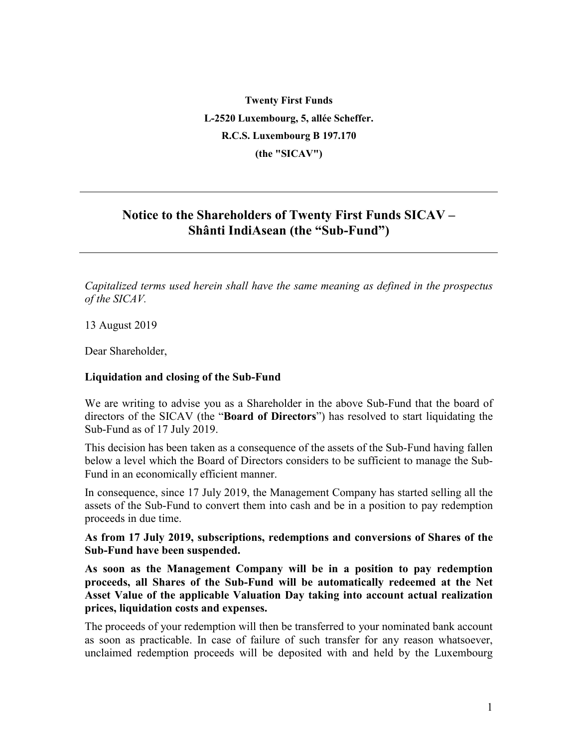**Twenty First Funds L-2520 Luxembourg, 5, allée Scheffer. R.C.S. Luxembourg B 197.170 (the "SICAV")**

## **Notice to the Shareholders of Twenty First Funds SICAV – Shânti IndiAsean (the "Sub-Fund")**

*Capitalized terms used herein shall have the same meaning as defined in the prospectus of the SICAV.*

13 August 2019

Dear Shareholder,

## **Liquidation and closing of the Sub-Fund**

We are writing to advise you as a Shareholder in the above Sub-Fund that the board of directors of the SICAV (the "**Board of Directors**") has resolved to start liquidating the Sub-Fund as of 17 July 2019.

This decision has been taken as a consequence of the assets of the Sub-Fund having fallen below a level which the Board of Directors considers to be sufficient to manage the Sub-Fund in an economically efficient manner.

In consequence, since 17 July 2019, the Management Company has started selling all the assets of the Sub-Fund to convert them into cash and be in a position to pay redemption proceeds in due time.

**As from 17 July 2019, subscriptions, redemptions and conversions of Shares of the Sub-Fund have been suspended.** 

**As soon as the Management Company will be in a position to pay redemption proceeds, all Shares of the Sub-Fund will be automatically redeemed at the Net Asset Value of the applicable Valuation Day taking into account actual realization prices, liquidation costs and expenses.**

The proceeds of your redemption will then be transferred to your nominated bank account as soon as practicable. In case of failure of such transfer for any reason whatsoever, unclaimed redemption proceeds will be deposited with and held by the Luxembourg